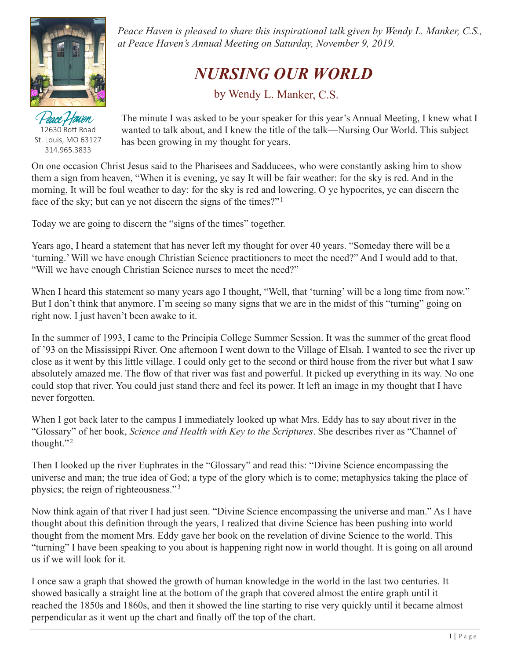

12630 Rott Road St. Louis, MO 63127 314.965.3833

*Peace Haven is pleased to share this inspirational talk given by Wendy L. Manker, C.S., at Peace Haven's Annual Meeting on Saturday, November 9, 2019.*

## *NURSING OUR WORLD*

by Wendy L. Manker, C.S.

ace Haven The minute I was asked to be your speaker for this year's Annual Meeting, I knew what I wanted to talk about, and I knew the title of the talk—Nursing Our World. This subject has been growing in my thought for years.

On one occasion Christ Jesus said to the Pharisees and Sadducees, who were constantly asking him to show them a sign from heaven, "When it is evening, ye say It will be fair weather: for the sky is red. And in the morning, It will be foul weather to day: for the sky is red and lowering. O ye hypocrites, ye can discern the face of the sky; but can ye not discern the signs of the times?"<sup>1</sup>

Today we are going to discern the "signs of the times" together.

Years ago, I heard a statement that has never left my thought for over 40 years. "Someday there will be a 'turning.' Will we have enough Christian Science practitioners to meet the need?" And I would add to that, "Will we have enough Christian Science nurses to meet the need?"

When I heard this statement so many years ago I thought, "Well, that 'turning' will be a long time from now." But I don't think that anymore. I'm seeing so many signs that we are in the midst of this "turning" going on right now. I just haven't been awake to it.

In the summer of 1993, I came to the Principia College Summer Session. It was the summer of the great flood of '93 on the Mississippi River. One afternoon I went down to the Village of Elsah. I wanted to see the river up close as it went by this little village. I could only get to the second or third house from the river but what I saw absolutely amazed me. The flow of that river was fast and powerful. It picked up everything in its way. No one could stop that river. You could just stand there and feel its power. It left an image in my thought that I have never forgotten.

When I got back later to the campus I immediately looked up what Mrs. Eddy has to say about river in the "Glossary" of her book, *Science and Health with Key to the Scriptures*. She describes river as "Channel of thought."2

Then I looked up the river Euphrates in the "Glossary" and read this: "Divine Science encompassing the universe and man; the true idea of God; a type of the glory which is to come; metaphysics taking the place of physics; the reign of righteousness."3

Now think again of that river I had just seen. "Divine Science encompassing the universe and man." As I have thought about this definition through the years, I realized that divine Science has been pushing into world thought from the moment Mrs. Eddy gave her book on the revelation of divine Science to the world. This "turning" I have been speaking to you about is happening right now in world thought. It is going on all around us if we will look for it.

I once saw a graph that showed the growth of human knowledge in the world in the last two centuries. It showed basically a straight line at the bottom of the graph that covered almost the entire graph until it reached the 1850s and 1860s, and then it showed the line starting to rise very quickly until it became almost perpendicular as it went up the chart and finally off the top of the chart.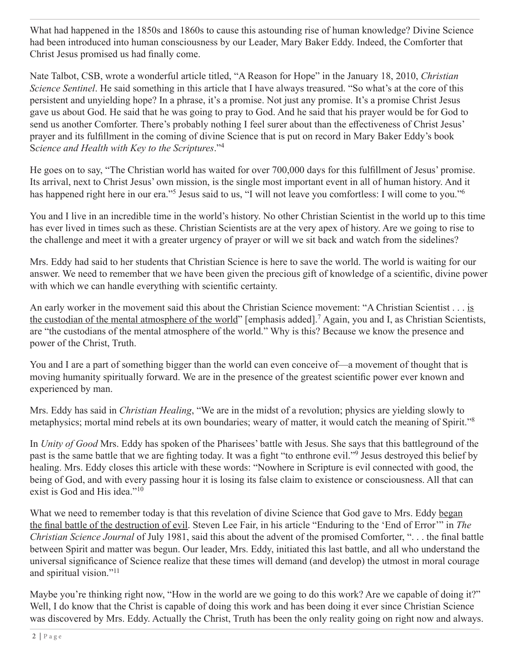What had happened in the 1850s and 1860s to cause this astounding rise of human knowledge? Divine Science had been introduced into human consciousness by our Leader, Mary Baker Eddy. Indeed, the Comforter that Christ Jesus promised us had finally come.

Nate Talbot, CSB, wrote a wonderful article titled, "A Reason for Hope" in the January 18, 2010, *Christian Science Sentinel*. He said something in this article that I have always treasured. "So what's at the core of this persistent and unyielding hope? In a phrase, it's a promise. Not just any promise. It's a promise Christ Jesus gave us about God. He said that he was going to pray to God. And he said that his prayer would be for God to send us another Comforter. There's probably nothing I feel surer about than the effectiveness of Christ Jesus' prayer and its fulfillment in the coming of divine Science that is put on record in Mary Baker Eddy's book S*cience and Health with Key to the Scriptures*."4

He goes on to say, "The Christian world has waited for over 700,000 days for this fulfillment of Jesus' promise. Its arrival, next to Christ Jesus' own mission, is the single most important event in all of human history. And it has happened right here in our era."<sup>5</sup> Jesus said to us, "I will not leave you comfortless: I will come to you."<sup>6</sup>

You and I live in an incredible time in the world's history. No other Christian Scientist in the world up to this time has ever lived in times such as these. Christian Scientists are at the very apex of history. Are we going to rise to the challenge and meet it with a greater urgency of prayer or will we sit back and watch from the sidelines?

Mrs. Eddy had said to her students that Christian Science is here to save the world. The world is waiting for our answer. We need to remember that we have been given the precious gift of knowledge of a scientific, divine power with which we can handle everything with scientific certainty.

An early worker in the movement said this about the Christian Science movement: "A Christian Scientist . . . is the custodian of the mental atmosphere of the world" [emphasis added].7 Again, you and I, as Christian Scientists, are "the custodians of the mental atmosphere of the world." Why is this? Because we know the presence and power of the Christ, Truth.

You and I are a part of something bigger than the world can even conceive of—a movement of thought that is moving humanity spiritually forward. We are in the presence of the greatest scientific power ever known and experienced by man.

Mrs. Eddy has said in *Christian Healing*, "We are in the midst of a revolution; physics are yielding slowly to metaphysics; mortal mind rebels at its own boundaries; weary of matter, it would catch the meaning of Spirit."8

In *Unity of Good* Mrs. Eddy has spoken of the Pharisees' battle with Jesus. She says that this battleground of the past is the same battle that we are fighting today. It was a fight "to enthrone evil."9 Jesus destroyed this belief by healing. Mrs. Eddy closes this article with these words: "Nowhere in Scripture is evil connected with good, the being of God, and with every passing hour it is losing its false claim to existence or consciousness. All that can exist is God and His idea."<sup>10</sup>

What we need to remember today is that this revelation of divine Science that God gave to Mrs. Eddy began the final battle of the destruction of evil. Steven Lee Fair, in his article "Enduring to the 'End of Error'" in *The Christian Science Journal* of July 1981, said this about the advent of the promised Comforter, ". . . the final battle between Spirit and matter was begun. Our leader, Mrs. Eddy, initiated this last battle, and all who understand the universal significance of Science realize that these times will demand (and develop) the utmost in moral courage and spiritual vision."11

Maybe you're thinking right now, "How in the world are we going to do this work? Are we capable of doing it?" Well, I do know that the Christ is capable of doing this work and has been doing it ever since Christian Science was discovered by Mrs. Eddy. Actually the Christ, Truth has been the only reality going on right now and always.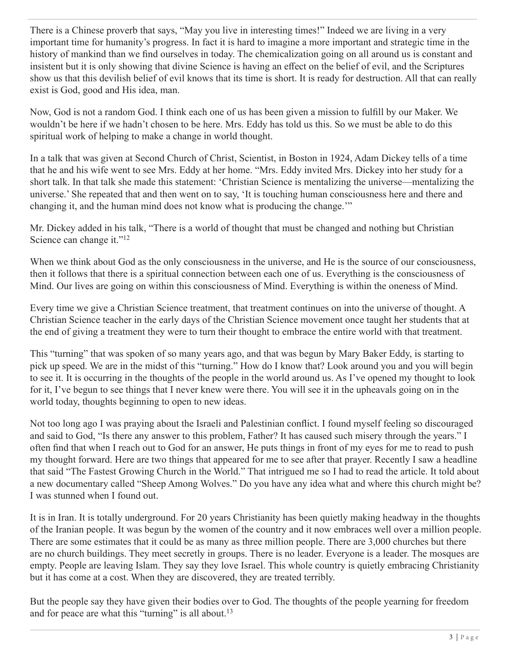There is a Chinese proverb that says, "May you live in interesting times!" Indeed we are living in a very important time for humanity's progress. In fact it is hard to imagine a more important and strategic time in the history of mankind than we find ourselves in today. The chemicalization going on all around us is constant and insistent but it is only showing that divine Science is having an effect on the belief of evil, and the Scriptures show us that this devilish belief of evil knows that its time is short. It is ready for destruction. All that can really exist is God, good and His idea, man.

Now, God is not a random God. I think each one of us has been given a mission to fulfill by our Maker. We wouldn't be here if we hadn't chosen to be here. Mrs. Eddy has told us this. So we must be able to do this spiritual work of helping to make a change in world thought.

In a talk that was given at Second Church of Christ, Scientist, in Boston in 1924, Adam Dickey tells of a time that he and his wife went to see Mrs. Eddy at her home. "Mrs. Eddy invited Mrs. Dickey into her study for a short talk. In that talk she made this statement: 'Christian Science is mentalizing the universe—mentalizing the universe.' She repeated that and then went on to say, 'It is touching human consciousness here and there and changing it, and the human mind does not know what is producing the change.'"

Mr. Dickey added in his talk, "There is a world of thought that must be changed and nothing but Christian Science can change it."<sup>12</sup>

When we think about God as the only consciousness in the universe, and He is the source of our consciousness, then it follows that there is a spiritual connection between each one of us. Everything is the consciousness of Mind. Our lives are going on within this consciousness of Mind. Everything is within the oneness of Mind.

Every time we give a Christian Science treatment, that treatment continues on into the universe of thought. A Christian Science teacher in the early days of the Christian Science movement once taught her students that at the end of giving a treatment they were to turn their thought to embrace the entire world with that treatment.

This "turning" that was spoken of so many years ago, and that was begun by Mary Baker Eddy, is starting to pick up speed. We are in the midst of this "turning." How do I know that? Look around you and you will begin to see it. It is occurring in the thoughts of the people in the world around us. As I've opened my thought to look for it, I've begun to see things that I never knew were there. You will see it in the upheavals going on in the world today, thoughts beginning to open to new ideas.

Not too long ago I was praying about the Israeli and Palestinian conflict. I found myself feeling so discouraged and said to God, "Is there any answer to this problem, Father? It has caused such misery through the years." I often find that when I reach out to God for an answer, He puts things in front of my eyes for me to read to push my thought forward. Here are two things that appeared for me to see after that prayer. Recently I saw a headline that said "The Fastest Growing Church in the World." That intrigued me so I had to read the article. It told about a new documentary called "Sheep Among Wolves." Do you have any idea what and where this church might be? I was stunned when I found out.

It is in Iran. It is totally underground. For 20 years Christianity has been quietly making headway in the thoughts of the Iranian people. It was begun by the women of the country and it now embraces well over a million people. There are some estimates that it could be as many as three million people. There are 3,000 churches but there are no church buildings. They meet secretly in groups. There is no leader. Everyone is a leader. The mosques are empty. People are leaving Islam. They say they love Israel. This whole country is quietly embracing Christianity but it has come at a cost. When they are discovered, they are treated terribly.

But the people say they have given their bodies over to God. The thoughts of the people yearning for freedom and for peace are what this "turning" is all about.<sup>13</sup>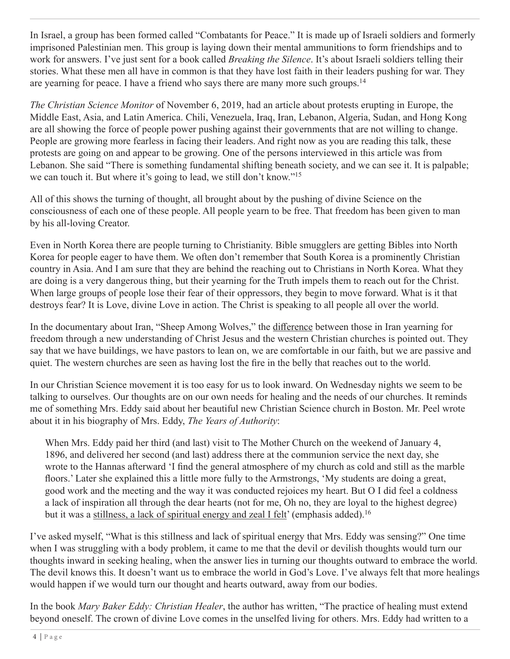In Israel, a group has been formed called "Combatants for Peace." It is made up of Israeli soldiers and formerly imprisoned Palestinian men. This group is laying down their mental ammunitions to form friendships and to work for answers. I've just sent for a book called *Breaking the Silence*. It's about Israeli soldiers telling their stories. What these men all have in common is that they have lost faith in their leaders pushing for war. They are yearning for peace. I have a friend who says there are many more such groups.<sup>14</sup>

*The Christian Science Monitor* of November 6, 2019, had an article about protests erupting in Europe, the Middle East, Asia, and Latin America. Chili, Venezuela, Iraq, Iran, Lebanon, Algeria, Sudan, and Hong Kong are all showing the force of people power pushing against their governments that are not willing to change. People are growing more fearless in facing their leaders. And right now as you are reading this talk, these protests are going on and appear to be growing. One of the persons interviewed in this article was from Lebanon. She said "There is something fundamental shifting beneath society, and we can see it. It is palpable; we can touch it. But where it's going to lead, we still don't know."<sup>15</sup>

All of this shows the turning of thought, all brought about by the pushing of divine Science on the consciousness of each one of these people. All people yearn to be free. That freedom has been given to man by his all-loving Creator.

Even in North Korea there are people turning to Christianity. Bible smugglers are getting Bibles into North Korea for people eager to have them. We often don't remember that South Korea is a prominently Christian country in Asia. And I am sure that they are behind the reaching out to Christians in North Korea. What they are doing is a very dangerous thing, but their yearning for the Truth impels them to reach out for the Christ. When large groups of people lose their fear of their oppressors, they begin to move forward. What is it that destroys fear? It is Love, divine Love in action. The Christ is speaking to all people all over the world.

In the documentary about Iran, "Sheep Among Wolves," the difference between those in Iran yearning for freedom through a new understanding of Christ Jesus and the western Christian churches is pointed out. They say that we have buildings, we have pastors to lean on, we are comfortable in our faith, but we are passive and quiet. The western churches are seen as having lost the fire in the belly that reaches out to the world.

In our Christian Science movement it is too easy for us to look inward. On Wednesday nights we seem to be talking to ourselves. Our thoughts are on our own needs for healing and the needs of our churches. It reminds me of something Mrs. Eddy said about her beautiful new Christian Science church in Boston. Mr. Peel wrote about it in his biography of Mrs. Eddy, *The Years of Authority*:

When Mrs. Eddy paid her third (and last) visit to The Mother Church on the weekend of January 4, 1896, and delivered her second (and last) address there at the communion service the next day, she wrote to the Hannas afterward 'I find the general atmosphere of my church as cold and still as the marble floors.' Later she explained this a little more fully to the Armstrongs, 'My students are doing a great, good work and the meeting and the way it was conducted rejoices my heart. But O I did feel a coldness a lack of inspiration all through the dear hearts (not for me, Oh no, they are loyal to the highest degree) but it was a stillness, a lack of spiritual energy and zeal I felt' (emphasis added).<sup>16</sup>

I've asked myself, "What is this stillness and lack of spiritual energy that Mrs. Eddy was sensing?" One time when I was struggling with a body problem, it came to me that the devil or devilish thoughts would turn our thoughts inward in seeking healing, when the answer lies in turning our thoughts outward to embrace the world. The devil knows this. It doesn't want us to embrace the world in God's Love. I've always felt that more healings would happen if we would turn our thought and hearts outward, away from our bodies.

In the book *Mary Baker Eddy: Christian Healer*, the author has written, "The practice of healing must extend beyond oneself. The crown of divine Love comes in the unselfed living for others. Mrs. Eddy had written to a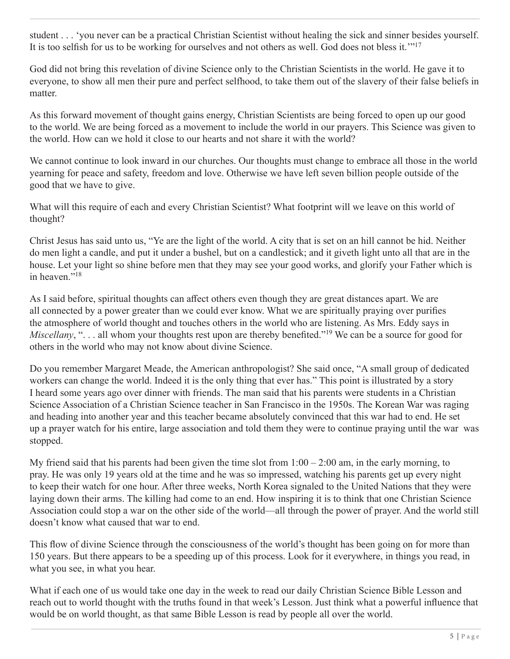student . . . 'you never can be a practical Christian Scientist without healing the sick and sinner besides yourself. It is too selfish for us to be working for ourselves and not others as well. God does not bless it.'"<sup>17</sup>

God did not bring this revelation of divine Science only to the Christian Scientists in the world. He gave it to everyone, to show all men their pure and perfect selfhood, to take them out of the slavery of their false beliefs in matter.

As this forward movement of thought gains energy, Christian Scientists are being forced to open up our good to the world. We are being forced as a movement to include the world in our prayers. This Science was given to the world. How can we hold it close to our hearts and not share it with the world?

We cannot continue to look inward in our churches. Our thoughts must change to embrace all those in the world yearning for peace and safety, freedom and love. Otherwise we have left seven billion people outside of the good that we have to give.

What will this require of each and every Christian Scientist? What footprint will we leave on this world of thought?

Christ Jesus has said unto us, "Ye are the light of the world. A city that is set on an hill cannot be hid. Neither do men light a candle, and put it under a bushel, but on a candlestick; and it giveth light unto all that are in the house. Let your light so shine before men that they may see your good works, and glorify your Father which is in heaven."<sup>18</sup>

As I said before, spiritual thoughts can affect others even though they are great distances apart. We are all connected by a power greater than we could ever know. What we are spiritually praying over purifies the atmosphere of world thought and touches others in the world who are listening. As Mrs. Eddy says in *Miscellany*, "... all whom your thoughts rest upon are thereby benefited."<sup>19</sup> We can be a source for good for others in the world who may not know about divine Science.

Do you remember Margaret Meade, the American anthropologist? She said once, "A small group of dedicated workers can change the world. Indeed it is the only thing that ever has." This point is illustrated by a story I heard some years ago over dinner with friends. The man said that his parents were students in a Christian Science Association of a Christian Science teacher in San Francisco in the 1950s. The Korean War was raging and heading into another year and this teacher became absolutely convinced that this war had to end. He set up a prayer watch for his entire, large association and told them they were to continue praying until the war was stopped.

My friend said that his parents had been given the time slot from  $1:00 - 2:00$  am, in the early morning, to pray. He was only 19 years old at the time and he was so impressed, watching his parents get up every night to keep their watch for one hour. After three weeks, North Korea signaled to the United Nations that they were laying down their arms. The killing had come to an end. How inspiring it is to think that one Christian Science Association could stop a war on the other side of the world—all through the power of prayer. And the world still doesn't know what caused that war to end.

This flow of divine Science through the consciousness of the world's thought has been going on for more than 150 years. But there appears to be a speeding up of this process. Look for it everywhere, in things you read, in what you see, in what you hear.

What if each one of us would take one day in the week to read our daily Christian Science Bible Lesson and reach out to world thought with the truths found in that week's Lesson. Just think what a powerful influence that would be on world thought, as that same Bible Lesson is read by people all over the world.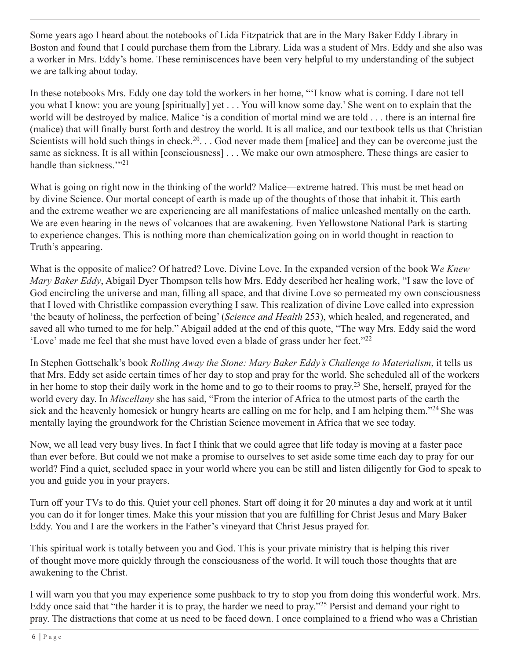Some years ago I heard about the notebooks of Lida Fitzpatrick that are in the Mary Baker Eddy Library in Boston and found that I could purchase them from the Library. Lida was a student of Mrs. Eddy and she also was a worker in Mrs. Eddy's home. These reminiscences have been very helpful to my understanding of the subject we are talking about today.

In these notebooks Mrs. Eddy one day told the workers in her home, "'I know what is coming. I dare not tell you what I know: you are young [spiritually] yet . . . You will know some day.' She went on to explain that the world will be destroyed by malice. Malice 'is a condition of mortal mind we are told . . . there is an internal fire (malice) that will finally burst forth and destroy the world. It is all malice, and our textbook tells us that Christian Scientists will hold such things in check.<sup>20</sup>... God never made them [malice] and they can be overcome just the same as sickness. It is all within [consciousness] . . . We make our own atmosphere. These things are easier to handle than sickness."<sup>21</sup>

What is going on right now in the thinking of the world? Malice—extreme hatred. This must be met head on by divine Science. Our mortal concept of earth is made up of the thoughts of those that inhabit it. This earth and the extreme weather we are experiencing are all manifestations of malice unleashed mentally on the earth. We are even hearing in the news of volcanoes that are awakening. Even Yellowstone National Park is starting to experience changes. This is nothing more than chemicalization going on in world thought in reaction to Truth's appearing.

What is the opposite of malice? Of hatred? Love. Divine Love. In the expanded version of the book W*e Knew Mary Baker Eddy*, Abigail Dyer Thompson tells how Mrs. Eddy described her healing work, "I saw the love of God encircling the universe and man, filling all space, and that divine Love so permeated my own consciousness that I loved with Christlike compassion everything I saw. This realization of divine Love called into expression 'the beauty of holiness, the perfection of being' (*Science and Health* 253), which healed, and regenerated, and saved all who turned to me for help." Abigail added at the end of this quote, "The way Mrs. Eddy said the word 'Love' made me feel that she must have loved even a blade of grass under her feet." $^{22}$ 

In Stephen Gottschalk's book *Rolling Away the Stone: Mary Baker Eddy's Challenge to Materialism*, it tells us that Mrs. Eddy set aside certain times of her day to stop and pray for the world. She scheduled all of the workers in her home to stop their daily work in the home and to go to their rooms to pray.<sup>23</sup> She, herself, prayed for the world every day. In *Miscellany* she has said, "From the interior of Africa to the utmost parts of the earth the sick and the heavenly homesick or hungry hearts are calling on me for help, and I am helping them."<sup>24</sup> She was mentally laying the groundwork for the Christian Science movement in Africa that we see today.

Now, we all lead very busy lives. In fact I think that we could agree that life today is moving at a faster pace than ever before. But could we not make a promise to ourselves to set aside some time each day to pray for our world? Find a quiet, secluded space in your world where you can be still and listen diligently for God to speak to you and guide you in your prayers.

Turn off your TVs to do this. Quiet your cell phones. Start off doing it for 20 minutes a day and work at it until you can do it for longer times. Make this your mission that you are fulfilling for Christ Jesus and Mary Baker Eddy. You and I are the workers in the Father's vineyard that Christ Jesus prayed for.

This spiritual work is totally between you and God. This is your private ministry that is helping this river of thought move more quickly through the consciousness of the world. It will touch those thoughts that are awakening to the Christ.

I will warn you that you may experience some pushback to try to stop you from doing this wonderful work. Mrs. Eddy once said that "the harder it is to pray, the harder we need to pray."25 Persist and demand your right to pray. The distractions that come at us need to be faced down. I once complained to a friend who was a Christian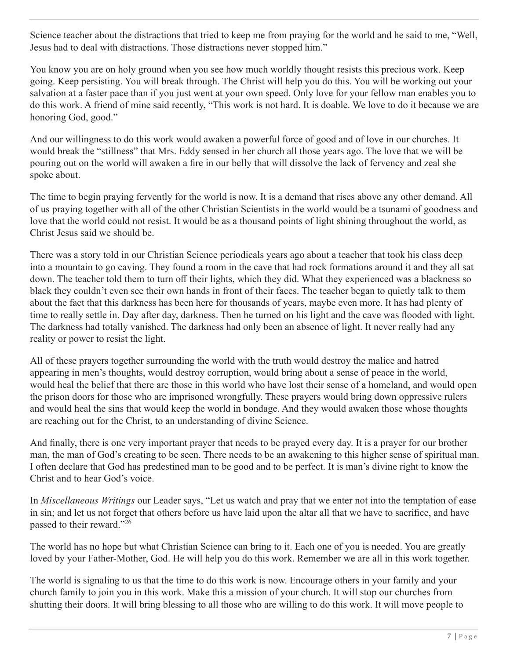Science teacher about the distractions that tried to keep me from praying for the world and he said to me, "Well, Jesus had to deal with distractions. Those distractions never stopped him."

You know you are on holy ground when you see how much worldly thought resists this precious work. Keep going. Keep persisting. You will break through. The Christ will help you do this. You will be working out your salvation at a faster pace than if you just went at your own speed. Only love for your fellow man enables you to do this work. A friend of mine said recently, "This work is not hard. It is doable. We love to do it because we are honoring God, good."

And our willingness to do this work would awaken a powerful force of good and of love in our churches. It would break the "stillness" that Mrs. Eddy sensed in her church all those years ago. The love that we will be pouring out on the world will awaken a fire in our belly that will dissolve the lack of fervency and zeal she spoke about.

The time to begin praying fervently for the world is now. It is a demand that rises above any other demand. All of us praying together with all of the other Christian Scientists in the world would be a tsunami of goodness and love that the world could not resist. It would be as a thousand points of light shining throughout the world, as Christ Jesus said we should be.

There was a story told in our Christian Science periodicals years ago about a teacher that took his class deep into a mountain to go caving. They found a room in the cave that had rock formations around it and they all sat down. The teacher told them to turn off their lights, which they did. What they experienced was a blackness so black they couldn't even see their own hands in front of their faces. The teacher began to quietly talk to them about the fact that this darkness has been here for thousands of years, maybe even more. It has had plenty of time to really settle in. Day after day, darkness. Then he turned on his light and the cave was flooded with light. The darkness had totally vanished. The darkness had only been an absence of light. It never really had any reality or power to resist the light.

All of these prayers together surrounding the world with the truth would destroy the malice and hatred appearing in men's thoughts, would destroy corruption, would bring about a sense of peace in the world, would heal the belief that there are those in this world who have lost their sense of a homeland, and would open the prison doors for those who are imprisoned wrongfully. These prayers would bring down oppressive rulers and would heal the sins that would keep the world in bondage. And they would awaken those whose thoughts are reaching out for the Christ, to an understanding of divine Science.

And finally, there is one very important prayer that needs to be prayed every day. It is a prayer for our brother man, the man of God's creating to be seen. There needs to be an awakening to this higher sense of spiritual man. I often declare that God has predestined man to be good and to be perfect. It is man's divine right to know the Christ and to hear God's voice.

In *Miscellaneous Writings* our Leader says, "Let us watch and pray that we enter not into the temptation of ease in sin; and let us not forget that others before us have laid upon the altar all that we have to sacrifice, and have passed to their reward."26

The world has no hope but what Christian Science can bring to it. Each one of you is needed. You are greatly loved by your Father-Mother, God. He will help you do this work. Remember we are all in this work together.

The world is signaling to us that the time to do this work is now. Encourage others in your family and your church family to join you in this work. Make this a mission of your church. It will stop our churches from shutting their doors. It will bring blessing to all those who are willing to do this work. It will move people to